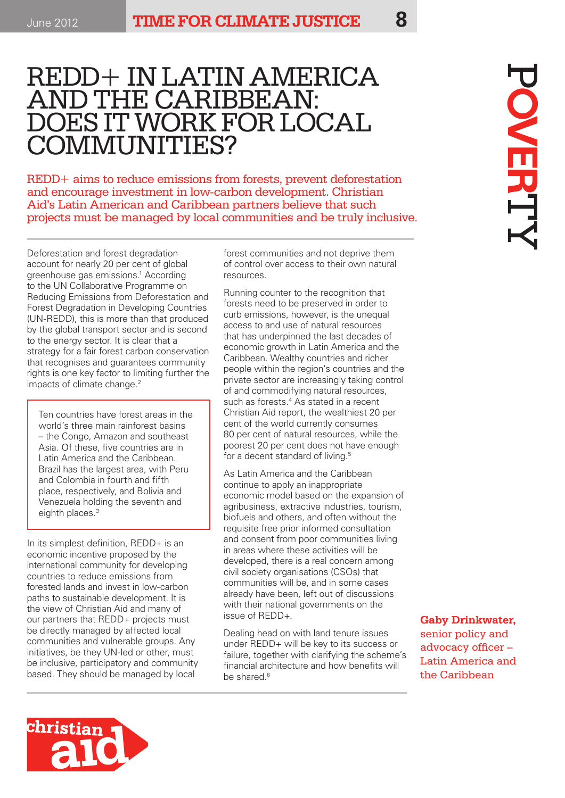# REDD+ IN LATIN AMERICA AND THE CARIBBEAN: DOES IT WORK FOR LOCAL COMMUNITIES?

REDD+ aims to reduce emissions from forests, prevent deforestation and encourage investment in low-carbon development. Christian Aid's Latin American and Caribbean partners believe that such projects must be managed by local communities and be truly inclusive.

Deforestation and forest degradation account for nearly 20 per cent of global greenhouse gas emissions.1 According to the UN Collaborative Programme on Reducing Emissions from Deforestation and Forest Degradation in Developing Countries (UN-REDD), this is more than that produced by the global transport sector and is second to the energy sector. It is clear that a strategy for a fair forest carbon conservation that recognises and guarantees community rights is one key factor to limiting further the impacts of climate change.<sup>2</sup>

Ten countries have forest areas in the world's three main rainforest basins – the Congo, Amazon and southeast Asia. Of these, five countries are in Latin America and the Caribbean. Brazil has the largest area, with Peru and Colombia in fourth and fifth place, respectively, and Bolivia and Venezuela holding the seventh and eighth places.<sup>3</sup>

In its simplest definition, REDD+ is an economic incentive proposed by the international community for developing countries to reduce emissions from forested lands and invest in low-carbon paths to sustainable development. It is the view of Christian Aid and many of our partners that REDD+ projects must be directly managed by affected local communities and vulnerable groups. Any initiatives, be they UN-led or other, must be inclusive, participatory and community based. They should be managed by local

forest communities and not deprive them of control over access to their own natural resources.

Running counter to the recognition that forests need to be preserved in order to curb emissions, however, is the unequal access to and use of natural resources that has underpinned the last decades of economic growth in Latin America and the Caribbean. Wealthy countries and richer people within the region's countries and the private sector are increasingly taking control of and commodifying natural resources, such as forests.<sup>4</sup> As stated in a recent Christian Aid report, the wealthiest 20 per cent of the world currently consumes 80 per cent of natural resources, while the poorest 20 per cent does not have enough for a decent standard of living.<sup>5</sup>

As Latin America and the Caribbean continue to apply an inappropriate economic model based on the expansion of agribusiness, extractive industries, tourism, biofuels and others, and often without the requisite free prior informed consultation and consent from poor communities living in areas where these activities will be developed, there is a real concern among civil society organisations (CSOs) that communities will be, and in some cases already have been, left out of discussions with their national governments on the issue of REDD+.

Dealing head on with land tenure issues under REDD+ will be key to its success or failure, together with clarifying the scheme's financial architecture and how benefits will be shared.<sup>6</sup>

**OVERT** 

**Gaby Drinkwater,** 

senior policy and advocacy officer – Latin America and the Caribbean

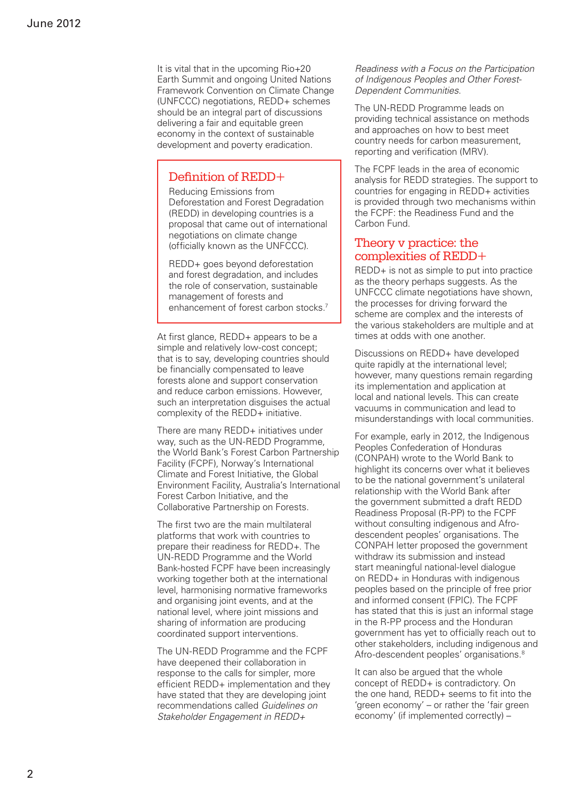It is vital that in the upcoming Rio+20 Earth Summit and ongoing United Nations Framework Convention on Climate Change (UNFCCC) negotiations, REDD+ schemes should be an integral part of discussions delivering a fair and equitable green economy in the context of sustainable development and poverty eradication.

#### Definition of REDD+

Reducing Emissions from Deforestation and Forest Degradation (REDD) in developing countries is a proposal that came out of international negotiations on climate change (officially known as the UNFCCC).

REDD+ goes beyond deforestation and forest degradation, and includes the role of conservation, sustainable management of forests and enhancement of forest carbon stocks.<sup>7</sup>

At first glance, REDD+ appears to be a simple and relatively low-cost concept; that is to say, developing countries should be financially compensated to leave forests alone and support conservation and reduce carbon emissions. However, such an interpretation disguises the actual complexity of the REDD+ initiative.

There are many REDD+ initiatives under way, such as the UN-REDD Programme, the World Bank's Forest Carbon Partnership Facility (FCPF), Norway's International Climate and Forest Initiative, the Global Environment Facility, Australia's International Forest Carbon Initiative, and the Collaborative Partnership on Forests.

The first two are the main multilateral platforms that work with countries to prepare their readiness for REDD+. The UN-REDD Programme and the World Bank-hosted FCPF have been increasingly working together both at the international level, harmonising normative frameworks and organising joint events, and at the national level, where joint missions and sharing of information are producing coordinated support interventions.

The UN-REDD Programme and the FCPF have deepened their collaboration in response to the calls for simpler, more efficient REDD+ implementation and they have stated that they are developing joint recommendations called *Guidelines on Stakeholder Engagement in REDD+* 

*Readiness with a Focus on the Participation of Indigenous Peoples and Other Forest-Dependent Communities*.

The UN-REDD Programme leads on providing technical assistance on methods and approaches on how to best meet country needs for carbon measurement, reporting and verification (MRV).

The FCPF leads in the area of economic analysis for REDD strategies. The support to countries for engaging in REDD+ activities is provided through two mechanisms within the FCPF: the Readiness Fund and the Carbon Fund.

#### Theory v practice: the complexities of REDD+

REDD+ is not as simple to put into practice as the theory perhaps suggests. As the UNFCCC climate negotiations have shown, the processes for driving forward the scheme are complex and the interests of the various stakeholders are multiple and at times at odds with one another.

Discussions on REDD+ have developed quite rapidly at the international level; however, many questions remain regarding its implementation and application at local and national levels. This can create vacuums in communication and lead to misunderstandings with local communities.

For example, early in 2012, the Indigenous Peoples Confederation of Honduras (CONPAH) wrote to the World Bank to highlight its concerns over what it believes to be the national government's unilateral relationship with the World Bank after the government submitted a draft REDD Readiness Proposal (R-PP) to the FCPF without consulting indigenous and Afrodescendent peoples' organisations. The CONPAH letter proposed the government withdraw its submission and instead start meaningful national-level dialogue on REDD+ in Honduras with indigenous peoples based on the principle of free prior and informed consent (FPIC). The FCPF has stated that this is just an informal stage in the R-PP process and the Honduran government has yet to officially reach out to other stakeholders, including indigenous and Afro-descendent peoples' organisations.<sup>8</sup>

It can also be argued that the whole concept of REDD+ is contradictory. On the one hand, REDD+ seems to fit into the 'green economy' – or rather the 'fair green economy' (if implemented correctly) –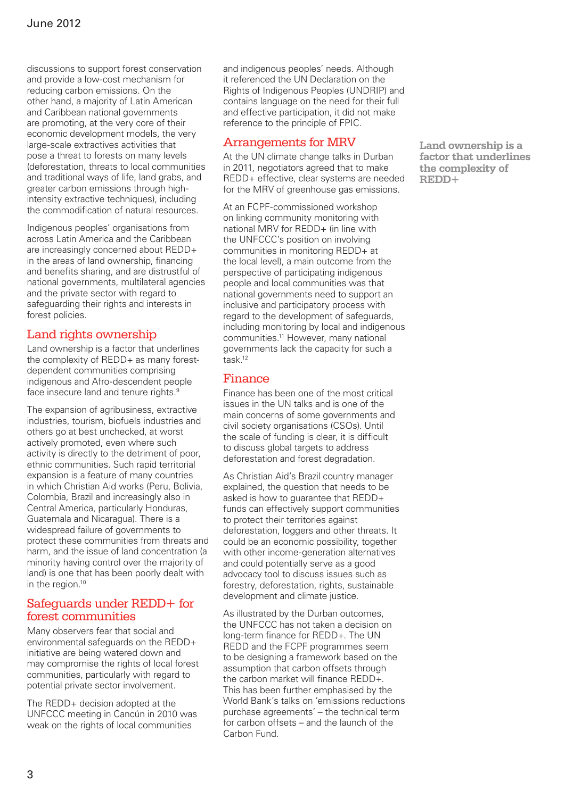discussions to support forest conservation and provide a low-cost mechanism for reducing carbon emissions. On the other hand, a majority of Latin American and Caribbean national governments are promoting, at the very core of their economic development models, the very large-scale extractives activities that pose a threat to forests on many levels (deforestation, threats to local communities and traditional ways of life, land grabs, and greater carbon emissions through highintensity extractive techniques), including the commodification of natural resources.

Indigenous peoples' organisations from across Latin America and the Caribbean are increasingly concerned about REDD+ in the areas of land ownership, financing and benefits sharing, and are distrustful of national governments, multilateral agencies and the private sector with regard to safeguarding their rights and interests in forest policies.

## Land rights ownership

Land ownership is a factor that underlines the complexity of REDD+ as many forestdependent communities comprising indigenous and Afro-descendent people face insecure land and tenure rights.<sup>9</sup>

The expansion of agribusiness, extractive industries, tourism, biofuels industries and others go at best unchecked, at worst actively promoted, even where such activity is directly to the detriment of poor, ethnic communities. Such rapid territorial expansion is a feature of many countries in which Christian Aid works (Peru, Bolivia, Colombia, Brazil and increasingly also in Central America, particularly Honduras, Guatemala and Nicaragua). There is a widespread failure of governments to protect these communities from threats and harm, and the issue of land concentration (a minority having control over the majority of land) is one that has been poorly dealt with in the region.<sup>10</sup>

#### Safeguards under REDD+ for forest communities

Many observers fear that social and environmental safeguards on the REDD+ initiative are being watered down and may compromise the rights of local forest communities, particularly with regard to potential private sector involvement.

The REDD+ decision adopted at the UNFCCC meeting in Cancún in 2010 was weak on the rights of local communities

and indigenous peoples' needs. Although it referenced the UN Declaration on the Rights of Indigenous Peoples (UNDRIP) and contains language on the need for their full and effective participation, it did not make reference to the principle of FPIC.

#### Arrangements for MRV

At the UN climate change talks in Durban in 2011, negotiators agreed that to make REDD+ effective, clear systems are needed for the MRV of greenhouse gas emissions.

At an FCPF-commissioned workshop on linking community monitoring with national MRV for REDD+ (in line with the UNFCCC's position on involving communities in monitoring REDD+ at the local level), a main outcome from the perspective of participating indigenous people and local communities was that national governments need to support an inclusive and participatory process with regard to the development of safeguards, including monitoring by local and indigenous communities.11 However, many national governments lack the capacity for such a task.12

## Finance

Finance has been one of the most critical issues in the UN talks and is one of the main concerns of some governments and civil society organisations (CSOs). Until the scale of funding is clear, it is difficult to discuss global targets to address deforestation and forest degradation.

As Christian Aid's Brazil country manager explained, the question that needs to be asked is how to guarantee that REDD+ funds can effectively support communities to protect their territories against deforestation, loggers and other threats. It could be an economic possibility, together with other income-generation alternatives and could potentially serve as a good advocacy tool to discuss issues such as forestry, deforestation, rights, sustainable development and climate justice.

As illustrated by the Durban outcomes, the UNFCCC has not taken a decision on long-term finance for REDD+. The UN REDD and the FCPF programmes seem to be designing a framework based on the assumption that carbon offsets through the carbon market will finance REDD+. This has been further emphasised by the World Bank's talks on 'emissions reductions purchase agreements' – the technical term for carbon offsets – and the launch of the Carbon Fund.

**Land ownership is a factor that underlines the complexity of REDD+**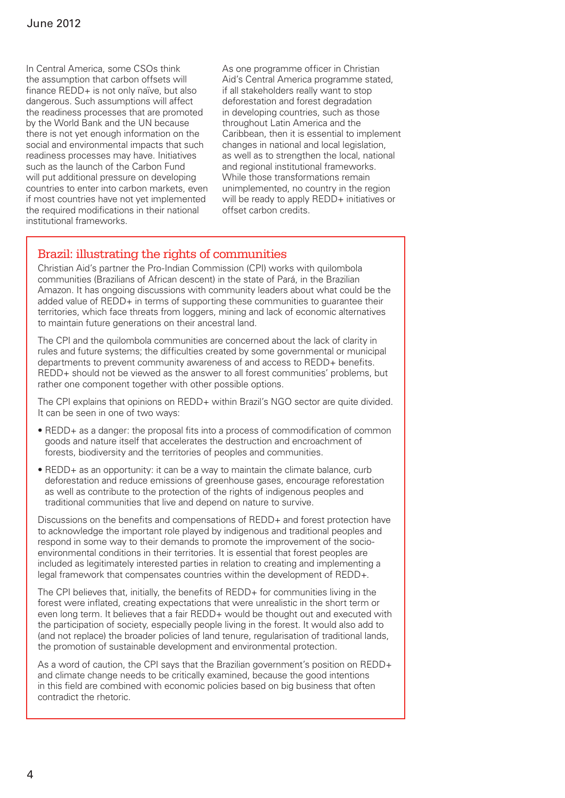In Central America, some CSOs think the assumption that carbon offsets will finance REDD+ is not only naïve, but also dangerous. Such assumptions will affect the readiness processes that are promoted by the World Bank and the UN because there is not yet enough information on the social and environmental impacts that such readiness processes may have. Initiatives such as the launch of the Carbon Fund will put additional pressure on developing countries to enter into carbon markets, even if most countries have not yet implemented the required modifications in their national institutional frameworks.

As one programme officer in Christian Aid's Central America programme stated, if all stakeholders really want to stop deforestation and forest degradation in developing countries, such as those throughout Latin America and the Caribbean, then it is essential to implement changes in national and local legislation, as well as to strengthen the local, national and regional institutional frameworks. While those transformations remain unimplemented, no country in the region will be ready to apply REDD+ initiatives or offset carbon credits.

#### Brazil: illustrating the rights of communities

Christian Aid's partner the Pro-Indian Commission (CPI) works with quilombola communities (Brazilians of African descent) in the state of Pará, in the Brazilian Amazon. It has ongoing discussions with community leaders about what could be the added value of REDD+ in terms of supporting these communities to guarantee their territories, which face threats from loggers, mining and lack of economic alternatives to maintain future generations on their ancestral land.

The CPI and the quilombola communities are concerned about the lack of clarity in rules and future systems; the difficulties created by some governmental or municipal departments to prevent community awareness of and access to REDD+ benefits. REDD+ should not be viewed as the answer to all forest communities' problems, but rather one component together with other possible options.

The CPI explains that opinions on REDD+ within Brazil's NGO sector are quite divided. It can be seen in one of two ways:

- REDD+ as a danger: the proposal fits into a process of commodification of common goods and nature itself that accelerates the destruction and encroachment of forests, biodiversity and the territories of peoples and communities.
- REDD+ as an opportunity: it can be a way to maintain the climate balance, curb deforestation and reduce emissions of greenhouse gases, encourage reforestation as well as contribute to the protection of the rights of indigenous peoples and traditional communities that live and depend on nature to survive.

Discussions on the benefits and compensations of REDD+ and forest protection have to acknowledge the important role played by indigenous and traditional peoples and respond in some way to their demands to promote the improvement of the socioenvironmental conditions in their territories. It is essential that forest peoples are included as legitimately interested parties in relation to creating and implementing a legal framework that compensates countries within the development of REDD+.

The CPI believes that, initially, the benefits of REDD+ for communities living in the forest were inflated, creating expectations that were unrealistic in the short term or even long term. It believes that a fair REDD+ would be thought out and executed with the participation of society, especially people living in the forest. It would also add to (and not replace) the broader policies of land tenure, regularisation of traditional lands, the promotion of sustainable development and environmental protection.

As a word of caution, the CPI says that the Brazilian government's position on REDD+ and climate change needs to be critically examined, because the good intentions in this field are combined with economic policies based on big business that often contradict the rhetoric.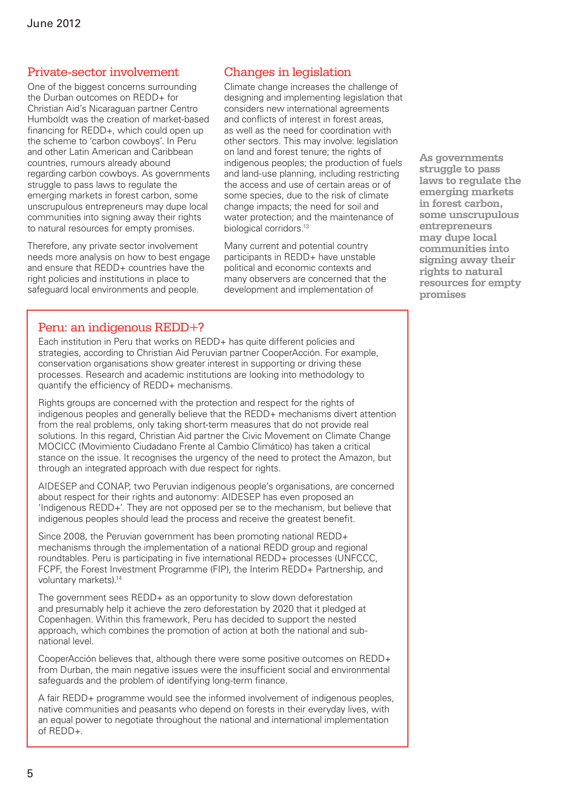#### Private-sector involvement

One of the biggest concerns surrounding the Durban outcomes on REDD+ for Christian Aid's Nicaraguan partner Centro Humboldt was the creation of market-based financing for REDD+, which could open up the scheme to 'carbon cowboys'. In Peru and other Latin American and Caribbean countries, rumours already abound regarding carbon cowboys. As governments struggle to pass laws to regulate the emerging markets in forest carbon, some unscrupulous entrepreneurs may dupe local communities into signing away their rights to natural resources for empty promises.

Therefore, any private sector involvement needs more analysis on how to best engage and ensure that REDD+ countries have the right policies and institutions in place to safeguard local environments and people.

#### Changes in legislation

Climate change increases the challenge of designing and implementing legislation that considers new international agreements and conflicts of interest in forest areas, as well as the need for coordination with other sectors. This may involve: legislation on land and forest tenure; the rights of indigenous peoples; the production of fuels and land-use planning, including restricting the access and use of certain areas or of some species, due to the risk of climate change impacts; the need for soil and water protection; and the maintenance of biological corridors.<sup>13</sup>

Many current and potential country participants in REDD+ have unstable political and economic contexts and many observers are concerned that the development and implementation of

## Peru: an indigenous REDD+?

Each institution in Peru that works on REDD+ has quite different policies and strategies, according to Christian Aid Peruvian partner CooperAcción. For example, conservation organisations show greater interest in supporting or driving these processes. Research and academic institutions are looking into methodology to quantify the efficiency of REDD+ mechanisms.

Rights groups are concerned with the protection and respect for the rights of indigenous peoples and generally believe that the REDD+ mechanisms divert attention from the real problems, only taking short-term measures that do not provide real solutions. In this regard, Christian Aid partner the Civic Movement on Climate Change MOCICC (Movimiento Ciudadano Frente al Cambio Climático) has taken a critical stance on the issue. It recognises the urgency of the need to protect the Amazon, but through an integrated approach with due respect for rights.

AIDESEP and CONAP, two Peruvian indigenous people's organisations, are concerned about respect for their rights and autonomy: AIDESEP has even proposed an 'Indigenous REDD+'. They are not opposed per se to the mechanism, but believe that indigenous peoples should lead the process and receive the greatest benefit.

Since 2008, the Peruvian government has been promoting national REDD+ mechanisms through the implementation of a national REDD group and regional roundtables. Peru is participating in five international REDD+ processes (UNFCCC, FCPF, the Forest Investment Programme (FIP), the Interim REDD+ Partnership, and voluntary markets).14

The government sees REDD+ as an opportunity to slow down deforestation and presumably help it achieve the zero deforestation by 2020 that it pledged at Copenhagen. Within this framework, Peru has decided to support the nested approach, which combines the promotion of action at both the national and subnational level.

CooperAcción believes that, although there were some positive outcomes on REDD+ from Durban, the main negative issues were the insufficient social and environmental safeguards and the problem of identifying long-term finance.

A fair REDD+ programme would see the informed involvement of indigenous peoples, native communities and peasants who depend on forests in their everyday lives, with an equal power to negotiate throughout the national and international implementation of REDD+.

**As governments struggle to pass laws to regulate the emerging markets in forest carbon, some unscrupulous entrepreneurs may dupe local communities into signing away their rights to natural resources for empty promises**